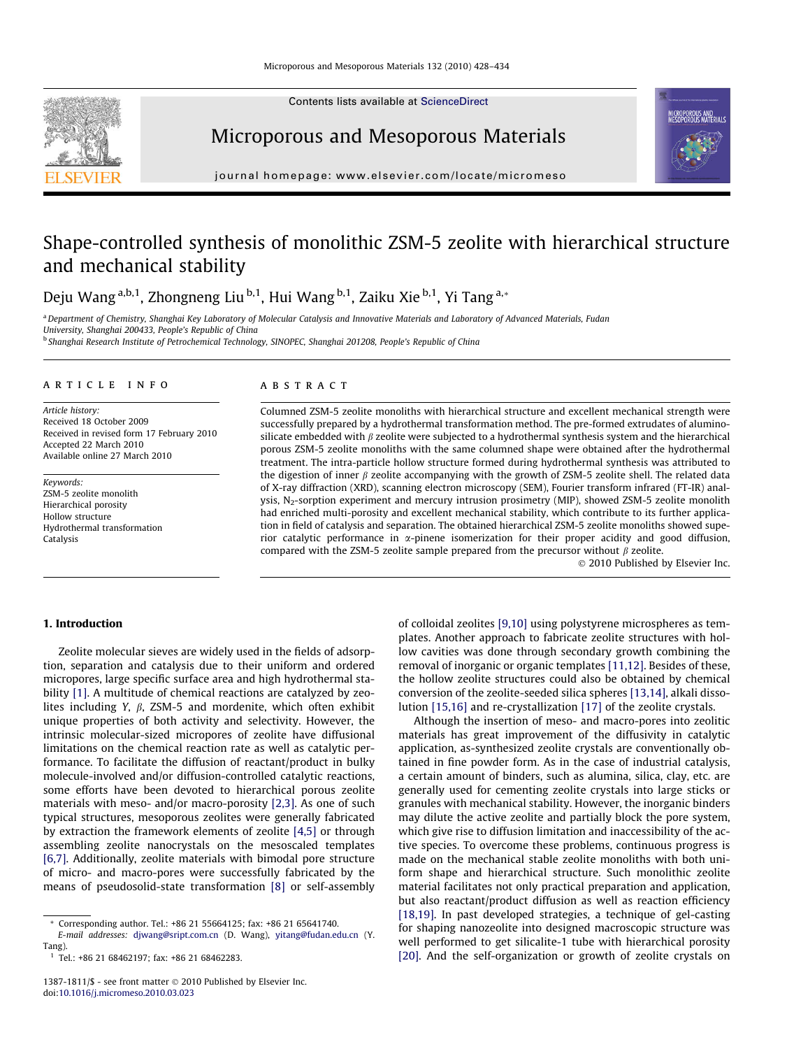Contents lists available at [ScienceDirect](http://www.sciencedirect.com/science/journal/13871811)



Microporous and Mesoporous Materials



journal homepage: [www.elsevier.com/locate/micromeso](http://www.elsevier.com/locate/micromeso)

# Shape-controlled synthesis of monolithic ZSM-5 zeolite with hierarchical structure and mechanical stability

Deju Wang a,b,1, Zhongneng Liu b,1, Hui Wang b,1, Zaiku Xie b,1, Yi Tang a,\*

a Department of Chemistry, Shanghai Key Laboratory of Molecular Catalysis and Innovative Materials and Laboratory of Advanced Materials, Fudan

University, Shanghai 200433, People's Republic of China<br><sup>b</sup> Shanghai Research Institute of Petrochemical Technology, SINOPEC, Shanghai 201208, People's Republic of China

# article info

Article history: Received 18 October 2009 Received in revised form 17 February 2010 Accepted 22 March 2010 Available online 27 March 2010

Keywords: ZSM-5 zeolite monolith Hierarchical porosity Hollow structure Hydrothermal transformation Catalysis

### **ABSTRACT**

Columned ZSM-5 zeolite monoliths with hierarchical structure and excellent mechanical strength were successfully prepared by a hydrothermal transformation method. The pre-formed extrudates of aluminosilicate embedded with  $\beta$  zeolite were subjected to a hydrothermal synthesis system and the hierarchical porous ZSM-5 zeolite monoliths with the same columned shape were obtained after the hydrothermal treatment. The intra-particle hollow structure formed during hydrothermal synthesis was attributed to the digestion of inner  $\beta$  zeolite accompanying with the growth of ZSM-5 zeolite shell. The related data of X-ray diffraction (XRD), scanning electron microscopy (SEM), Fourier transform infrared (FT-IR) analysis, N<sub>2</sub>-sorption experiment and mercury intrusion prosimetry (MIP), showed ZSM-5 zeolite monolith had enriched multi-porosity and excellent mechanical stability, which contribute to its further application in field of catalysis and separation. The obtained hierarchical ZSM-5 zeolite monoliths showed superior catalytic performance in  $\alpha$ -pinene isomerization for their proper acidity and good diffusion, compared with the ZSM-5 zeolite sample prepared from the precursor without  $\beta$  zeolite.

© 2010 Published by Elsevier Inc.

# 1. Introduction

Zeolite molecular sieves are widely used in the fields of adsorption, separation and catalysis due to their uniform and ordered micropores, large specific surface area and high hydrothermal stability [\[1\].](#page-6-0) A multitude of chemical reactions are catalyzed by zeolites including Y,  $\beta$ , ZSM-5 and mordenite, which often exhibit unique properties of both activity and selectivity. However, the intrinsic molecular-sized micropores of zeolite have diffusional limitations on the chemical reaction rate as well as catalytic performance. To facilitate the diffusion of reactant/product in bulky molecule-involved and/or diffusion-controlled catalytic reactions, some efforts have been devoted to hierarchical porous zeolite materials with meso- and/or macro-porosity [\[2,3\]](#page-6-0). As one of such typical structures, mesoporous zeolites were generally fabricated by extraction the framework elements of zeolite [\[4,5\]](#page-6-0) or through assembling zeolite nanocrystals on the mesoscaled templates [\[6,7\]](#page-6-0). Additionally, zeolite materials with bimodal pore structure of micro- and macro-pores were successfully fabricated by the means of pseudosolid-state transformation [\[8\]](#page-6-0) or self-assembly of colloidal zeolites [\[9,10\]](#page-6-0) using polystyrene microspheres as templates. Another approach to fabricate zeolite structures with hollow cavities was done through secondary growth combining the removal of inorganic or organic templates [\[11,12\]](#page-6-0). Besides of these, the hollow zeolite structures could also be obtained by chemical conversion of the zeolite-seeded silica spheres [\[13,14\],](#page-6-0) alkali dissolution [\[15,16\]](#page-6-0) and re-crystallization [\[17\]](#page-6-0) of the zeolite crystals.

Although the insertion of meso- and macro-pores into zeolitic materials has great improvement of the diffusivity in catalytic application, as-synthesized zeolite crystals are conventionally obtained in fine powder form. As in the case of industrial catalysis, a certain amount of binders, such as alumina, silica, clay, etc. are generally used for cementing zeolite crystals into large sticks or granules with mechanical stability. However, the inorganic binders may dilute the active zeolite and partially block the pore system, which give rise to diffusion limitation and inaccessibility of the active species. To overcome these problems, continuous progress is made on the mechanical stable zeolite monoliths with both uniform shape and hierarchical structure. Such monolithic zeolite material facilitates not only practical preparation and application, but also reactant/product diffusion as well as reaction efficiency [\[18,19\].](#page-6-0) In past developed strategies, a technique of gel-casting for shaping nanozeolite into designed macroscopic structure was well performed to get silicalite-1 tube with hierarchical porosity [\[20\]](#page-6-0). And the self-organization or growth of zeolite crystals on

<sup>\*</sup> Corresponding author. Tel.: +86 21 55664125; fax: +86 21 65641740. E-mail addresses: [djwang@sript.com.cn](mailto:djwang@sript.com.cn) (D. Wang), [yitang@fudan.edu.cn](mailto:yitang@fudan.edu.cn) (Y.

Tang).

 $1$  Tel.: +86 21 68462197; fax: +86 21 68462283.

<sup>1387-1811/\$ -</sup> see front matter  $\odot$  2010 Published by Elsevier Inc. doi:[10.1016/j.micromeso.2010.03.023](http://dx.doi.org/10.1016/j.micromeso.2010.03.023)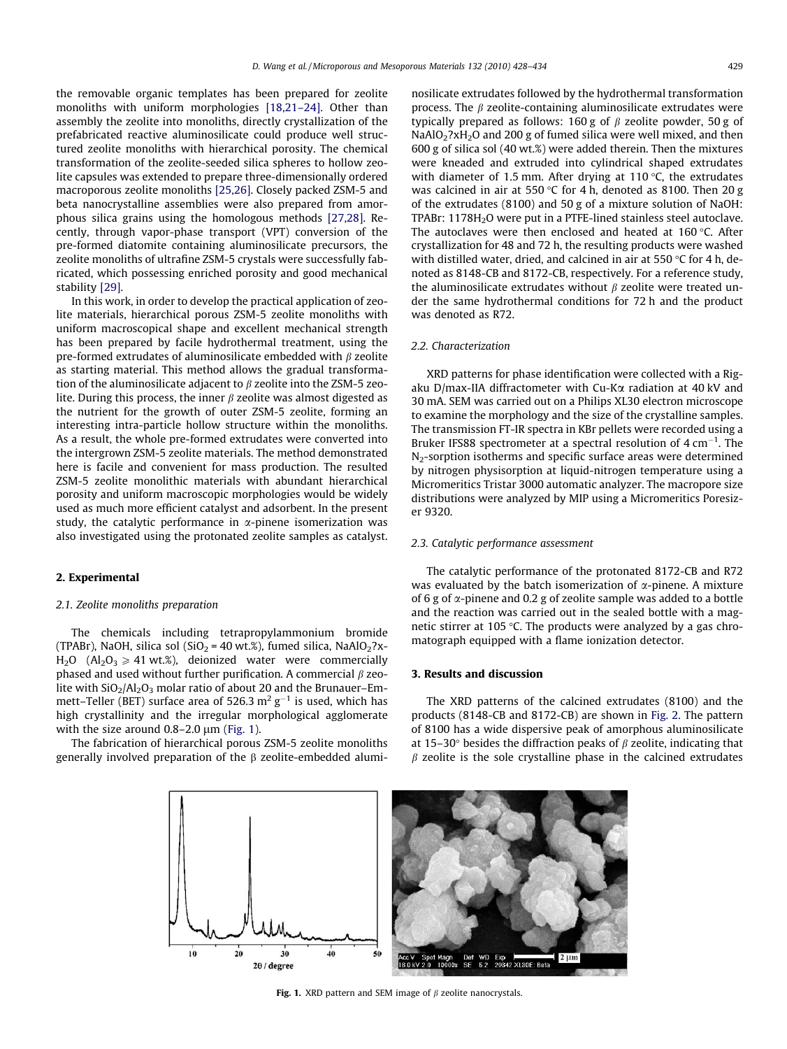the removable organic templates has been prepared for zeolite monoliths with uniform morphologies [\[18,21–24\].](#page-6-0) Other than assembly the zeolite into monoliths, directly crystallization of the prefabricated reactive aluminosilicate could produce well structured zeolite monoliths with hierarchical porosity. The chemical transformation of the zeolite-seeded silica spheres to hollow zeolite capsules was extended to prepare three-dimensionally ordered macroporous zeolite monoliths [\[25,26\].](#page-6-0) Closely packed ZSM-5 and beta nanocrystalline assemblies were also prepared from amorphous silica grains using the homologous methods [\[27,28\].](#page-6-0) Recently, through vapor-phase transport (VPT) conversion of the pre-formed diatomite containing aluminosilicate precursors, the zeolite monoliths of ultrafine ZSM-5 crystals were successfully fabricated, which possessing enriched porosity and good mechanical stability [\[29\]](#page-6-0).

In this work, in order to develop the practical application of zeolite materials, hierarchical porous ZSM-5 zeolite monoliths with uniform macroscopical shape and excellent mechanical strength has been prepared by facile hydrothermal treatment, using the pre-formed extrudates of aluminosilicate embedded with  $\beta$  zeolite as starting material. This method allows the gradual transformation of the aluminosilicate adjacent to  $\beta$  zeolite into the ZSM-5 zeolite. During this process, the inner  $\beta$  zeolite was almost digested as the nutrient for the growth of outer ZSM-5 zeolite, forming an interesting intra-particle hollow structure within the monoliths. As a result, the whole pre-formed extrudates were converted into the intergrown ZSM-5 zeolite materials. The method demonstrated here is facile and convenient for mass production. The resulted ZSM-5 zeolite monolithic materials with abundant hierarchical porosity and uniform macroscopic morphologies would be widely used as much more efficient catalyst and adsorbent. In the present study, the catalytic performance in  $\alpha$ -pinene isomerization was also investigated using the protonated zeolite samples as catalyst.

# 2. Experimental

#### 2.1. Zeolite monoliths preparation

The chemicals including tetrapropylammonium bromide (TPABr), NaOH, silica sol (SiO<sub>2</sub> = 40 wt.%), fumed silica, NaAlO<sub>2</sub>?x- $H_2O$  (Al<sub>2</sub>O<sub>3</sub>  $\ge$  41 wt.%), deionized water were commercially phased and used without further purification. A commercial  $\beta$  zeolite with  $SiO<sub>2</sub>/Al<sub>2</sub>O<sub>3</sub>$  molar ratio of about 20 and the Brunauer–Emmett–Teller (BET) surface area of 526.3  $\mathrm{m^{2}\,g^{-1}}$  is used, which has high crystallinity and the irregular morphological agglomerate with the size around  $0.8-2.0 \mu m$  (Fig. 1).

The fabrication of hierarchical porous ZSM-5 zeolite monoliths generally involved preparation of the  $\beta$  zeolite-embedded aluminosilicate extrudates followed by the hydrothermal transformation process. The  $\beta$  zeolite-containing aluminosilicate extrudates were typically prepared as follows: 160 g of  $\beta$  zeolite powder, 50 g of NaAlO<sub>2</sub>?xH<sub>2</sub>O and 200 g of fumed silica were well mixed, and then 600 g of silica sol (40 wt.%) were added therein. Then the mixtures were kneaded and extruded into cylindrical shaped extrudates with diameter of 1.5 mm. After drying at 110  $\degree$ C, the extrudates was calcined in air at 550 °C for 4 h, denoted as 8100. Then 20 g of the extrudates (8100) and 50 g of a mixture solution of NaOH: TPABr: 1178H<sub>2</sub>O were put in a PTFE-lined stainless steel autoclave. The autoclaves were then enclosed and heated at  $160^{\circ}$ C. After crystallization for 48 and 72 h, the resulting products were washed with distilled water, dried, and calcined in air at 550  $\degree$ C for 4 h, denoted as 8148-CB and 8172-CB, respectively. For a reference study, the aluminosilicate extrudates without  $\beta$  zeolite were treated under the same hydrothermal conditions for 72 h and the product was denoted as R72.

#### 2.2. Characterization

XRD patterns for phase identification were collected with a Rigaku D/max-IIA diffractometer with Cu-Ka radiation at 40 kV and 30 mA. SEM was carried out on a Philips XL30 electron microscope to examine the morphology and the size of the crystalline samples. The transmission FT-IR spectra in KBr pellets were recorded using a Bruker IFS88 spectrometer at a spectral resolution of  $4 \text{ cm}^{-1}$ . The N<sub>2</sub>-sorption isotherms and specific surface areas were determined by nitrogen physisorption at liquid-nitrogen temperature using a Micromeritics Tristar 3000 automatic analyzer. The macropore size distributions were analyzed by MIP using a Micromeritics Poresizer 9320.

# 2.3. Catalytic performance assessment

The catalytic performance of the protonated 8172-CB and R72 was evaluated by the batch isomerization of  $\alpha$ -pinene. A mixture of 6 g of  $\alpha$ -pinene and 0.2 g of zeolite sample was added to a bottle and the reaction was carried out in the sealed bottle with a magnetic stirrer at 105  $\degree$ C. The products were analyzed by a gas chromatograph equipped with a flame ionization detector.

#### 3. Results and discussion

The XRD patterns of the calcined extrudates (8100) and the products (8148-CB and 8172-CB) are shown in [Fig. 2.](#page-2-0) The pattern of 8100 has a wide dispersive peak of amorphous aluminosilicate at 15–30 $\degree$  besides the diffraction peaks of  $\beta$  zeolite, indicating that  $\beta$  zeolite is the sole crystalline phase in the calcined extrudates



Fig. 1. XRD pattern and SEM image of  $\beta$  zeolite nanocrystals.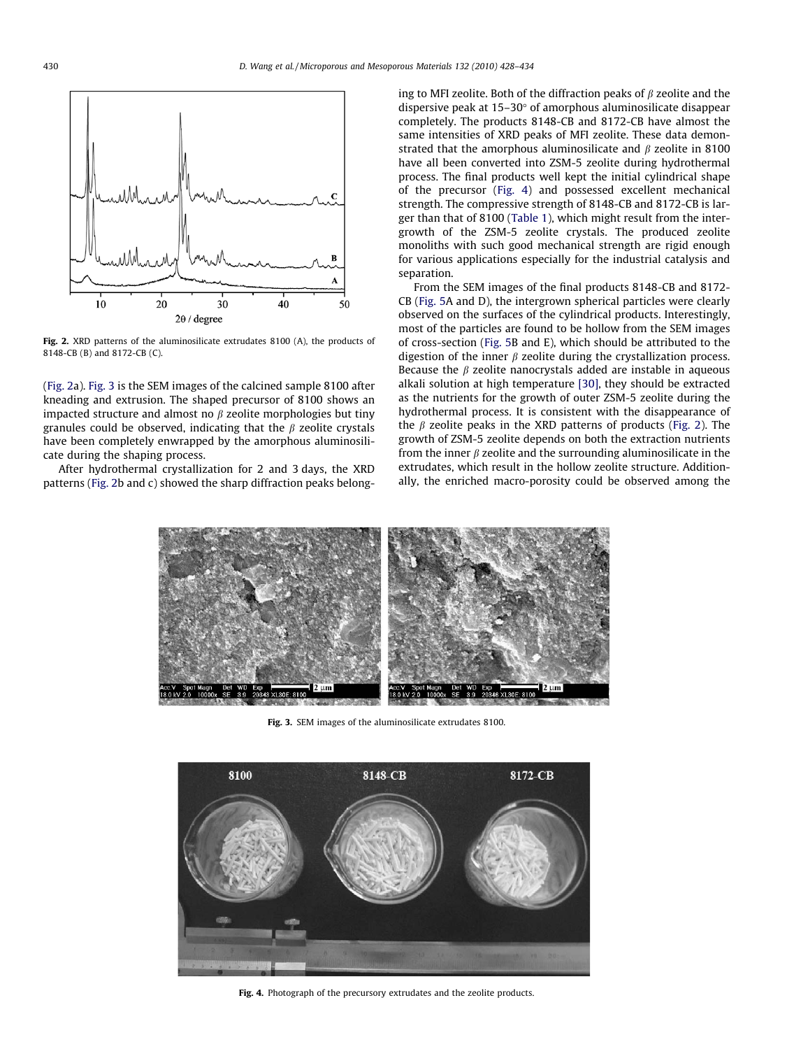<span id="page-2-0"></span>

Fig. 2. XRD patterns of the aluminosilicate extrudates 8100 (A), the products of 8148-CB (B) and 8172-CB (C).

(Fig. 2a). Fig. 3 is the SEM images of the calcined sample 8100 after kneading and extrusion. The shaped precursor of 8100 shows an impacted structure and almost no  $\beta$  zeolite morphologies but tiny granules could be observed, indicating that the  $\beta$  zeolite crystals have been completely enwrapped by the amorphous aluminosilicate during the shaping process.

After hydrothermal crystallization for 2 and 3 days, the XRD patterns (Fig. 2b and c) showed the sharp diffraction peaks belonging to MFI zeolite. Both of the diffraction peaks of  $\beta$  zeolite and the dispersive peak at  $15-30^\circ$  of amorphous aluminosilicate disappear completely. The products 8148-CB and 8172-CB have almost the same intensities of XRD peaks of MFI zeolite. These data demonstrated that the amorphous aluminosilicate and  $\beta$  zeolite in 8100 have all been converted into ZSM-5 zeolite during hydrothermal process. The final products well kept the initial cylindrical shape of the precursor (Fig. 4) and possessed excellent mechanical strength. The compressive strength of 8148-CB and 8172-CB is larger than that of 8100 [\(Table 1\)](#page-3-0), which might result from the intergrowth of the ZSM-5 zeolite crystals. The produced zeolite monoliths with such good mechanical strength are rigid enough for various applications especially for the industrial catalysis and separation.

From the SEM images of the final products 8148-CB and 8172- CB [\(Fig. 5](#page-3-0)A and D), the intergrown spherical particles were clearly observed on the surfaces of the cylindrical products. Interestingly, most of the particles are found to be hollow from the SEM images of cross-section ([Fig. 5](#page-3-0)B and E), which should be attributed to the digestion of the inner  $\beta$  zeolite during the crystallization process. Because the  $\beta$  zeolite nanocrystals added are instable in aqueous alkali solution at high temperature [\[30\]](#page-6-0), they should be extracted as the nutrients for the growth of outer ZSM-5 zeolite during the hydrothermal process. It is consistent with the disappearance of the  $\beta$  zeolite peaks in the XRD patterns of products (Fig. 2). The growth of ZSM-5 zeolite depends on both the extraction nutrients from the inner  $\beta$  zeolite and the surrounding aluminosilicate in the extrudates, which result in the hollow zeolite structure. Additionally, the enriched macro-porosity could be observed among the



Fig. 3. SEM images of the aluminosilicate extrudates 8100.



Fig. 4. Photograph of the precursory extrudates and the zeolite products.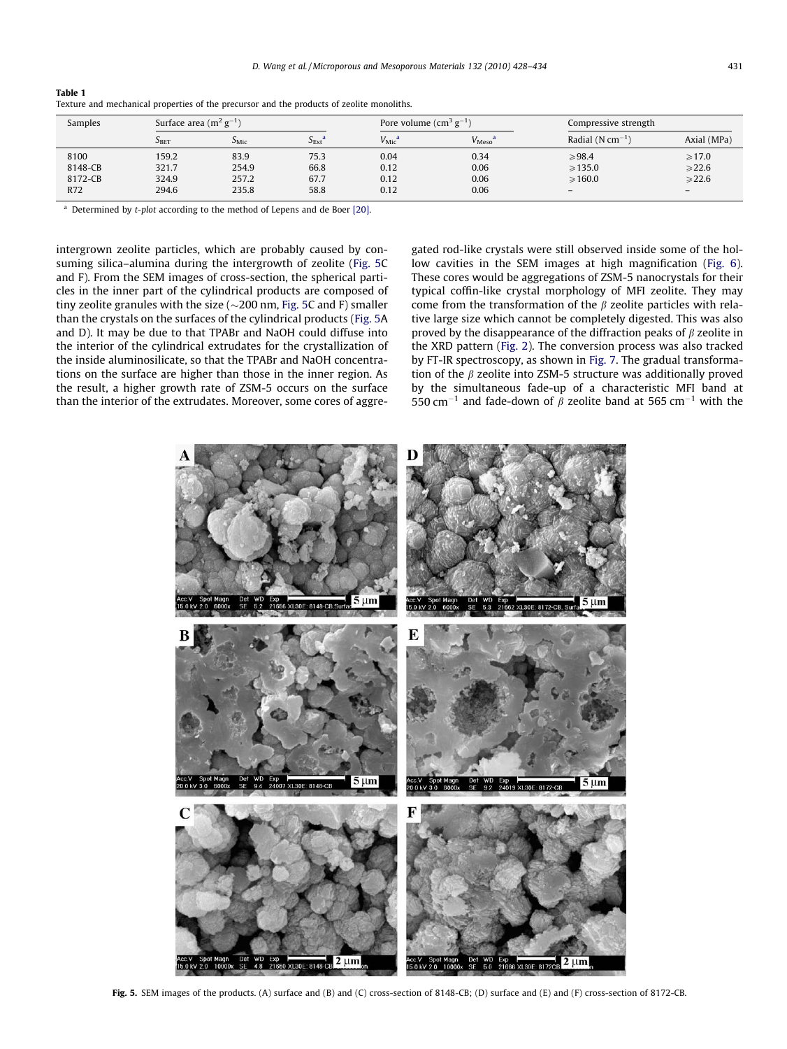| Samples | Surface area $(m^2 g^{-1})$ |                            |                             | Pore volume $\text{(cm}^3 \text{ g}^{-1})$ |                              | Compressive strength         |                   |
|---------|-----------------------------|----------------------------|-----------------------------|--------------------------------------------|------------------------------|------------------------------|-------------------|
|         | S <sub>BET</sub>            | $\mathcal{L}_{\text{Mic}}$ | $S_{\text{Ext}}^{\text{a}}$ | $V_{\rm Mic}$ <sup>a</sup>                 | $V_{\text{Meso}}^{\text{a}}$ | Radial $(N \text{ cm}^{-1})$ | Axial (MPa)       |
| 8100    | 159.2                       | 83.9                       | 75.3                        | 0.04                                       | 0.34                         | >98.4                        | $\geqslant$ 17.0  |
| 8148-CB | 321.7                       | 254.9                      | 66.8                        | 0.12                                       | 0.06                         | $\geqslant$ 135.0            | $\geqslant$ 22.6  |
| 8172-CB | 324.9                       | 257.2                      | 67.7                        | 0.12                                       | 0.06                         | $\geqslant$ 160.0            | $\geqslant$ 22.6  |
| R72     | 294.6                       | 235.8                      | 58.8                        | 0.12                                       | 0.06                         | $\overline{\phantom{0}}$     | $\qquad \qquad -$ |

<span id="page-3-0"></span>Table 1 Texture and mechanical properties of the precursor and the products of zeolite monoliths.

Determined by t-plot according to the method of Lepens and de Boer [\[20\].](#page-6-0)

intergrown zeolite particles, which are probably caused by consuming silica–alumina during the intergrowth of zeolite (Fig. 5C and F). From the SEM images of cross-section, the spherical particles in the inner part of the cylindrical products are composed of tiny zeolite granules with the size ( $\sim$ 200 nm, Fig. 5C and F) smaller than the crystals on the surfaces of the cylindrical products (Fig. 5A and D). It may be due to that TPABr and NaOH could diffuse into the interior of the cylindrical extrudates for the crystallization of the inside aluminosilicate, so that the TPABr and NaOH concentrations on the surface are higher than those in the inner region. As the result, a higher growth rate of ZSM-5 occurs on the surface than the interior of the extrudates. Moreover, some cores of aggregated rod-like crystals were still observed inside some of the hollow cavities in the SEM images at high magnification [\(Fig. 6\)](#page-4-0). These cores would be aggregations of ZSM-5 nanocrystals for their typical coffin-like crystal morphology of MFI zeolite. They may come from the transformation of the  $\beta$  zeolite particles with relative large size which cannot be completely digested. This was also proved by the disappearance of the diffraction peaks of  $\beta$  zeolite in the XRD pattern [\(Fig. 2\)](#page-2-0). The conversion process was also tracked by FT-IR spectroscopy, as shown in [Fig. 7](#page-4-0). The gradual transformation of the  $\beta$  zeolite into ZSM-5 structure was additionally proved by the simultaneous fade-up of a characteristic MFI band at 550 cm<sup>-1</sup> and fade-down of  $\beta$  zeolite band at 565 cm<sup>-1</sup> with the



Fig. 5. SEM images of the products. (A) surface and (B) and (C) cross-section of 8148-CB; (D) surface and (E) and (F) cross-section of 8172-CB.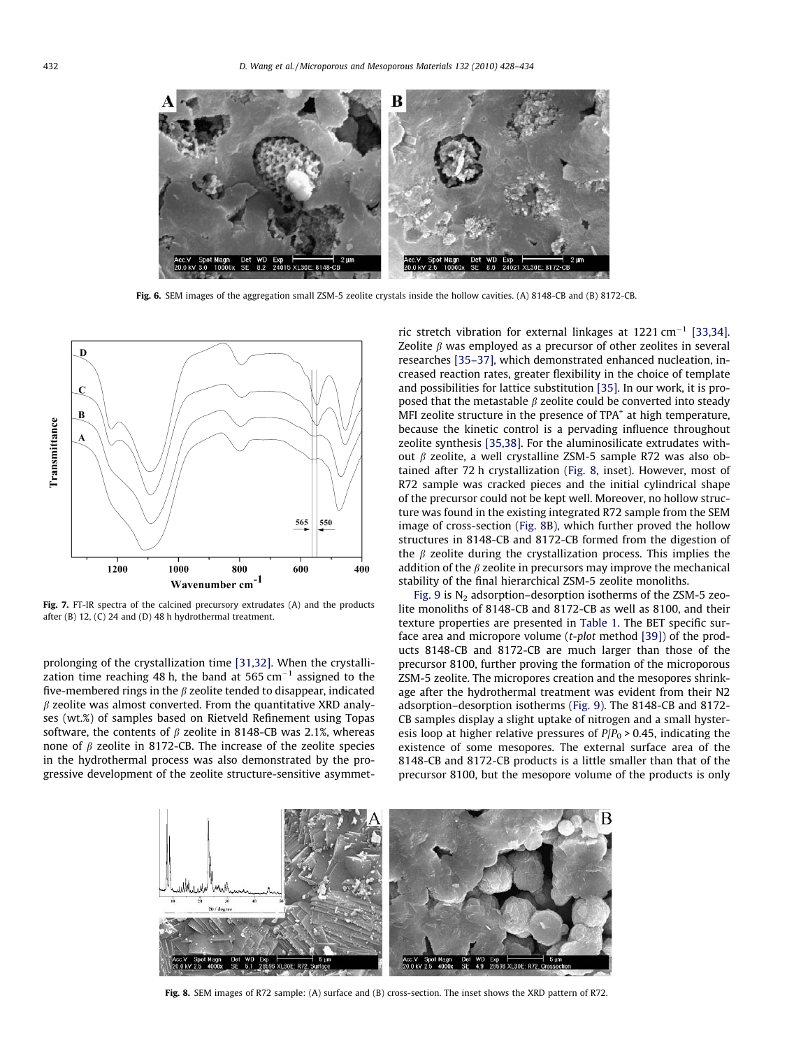<span id="page-4-0"></span>

Fig. 6. SEM images of the aggregation small ZSM-5 zeolite crystals inside the hollow cavities. (A) 8148-CB and (B) 8172-CB.



Fig. 7. FT-IR spectra of the calcined precursory extrudates (A) and the products after (B) 12, (C) 24 and (D) 48 h hydrothermal treatment.

prolonging of the crystallization time [\[31,32\]](#page-6-0). When the crystallization time reaching 48 h, the band at 565 cm $^{-1}$  assigned to the five-membered rings in the  $\beta$  zeolite tended to disappear, indicated  $\beta$  zeolite was almost converted. From the quantitative XRD analyses (wt.%) of samples based on Rietveld Refinement using Topas software, the contents of  $\beta$  zeolite in 8148-CB was 2.1%, whereas none of  $\beta$  zeolite in 8172-CB. The increase of the zeolite species in the hydrothermal process was also demonstrated by the progressive development of the zeolite structure-sensitive asymmetric stretch vibration for external linkages at  $1221 \text{ cm}^{-1}$  [\[33,34\].](#page-6-0) Zeolite  $\beta$  was employed as a precursor of other zeolites in several researches [\[35–37\],](#page-6-0) which demonstrated enhanced nucleation, increased reaction rates, greater flexibility in the choice of template and possibilities for lattice substitution [\[35\]](#page-6-0). In our work, it is proposed that the metastable  $\beta$  zeolite could be converted into steady MFI zeolite structure in the presence of  $TPA<sup>+</sup>$  at high temperature, because the kinetic control is a pervading influence throughout zeolite synthesis [\[35,38\]](#page-6-0). For the aluminosilicate extrudates without  $\beta$  zeolite, a well crystalline ZSM-5 sample R72 was also obtained after 72 h crystallization (Fig. 8, inset). However, most of R72 sample was cracked pieces and the initial cylindrical shape of the precursor could not be kept well. Moreover, no hollow structure was found in the existing integrated R72 sample from the SEM image of cross-section (Fig. 8B), which further proved the hollow structures in 8148-CB and 8172-CB formed from the digestion of the  $\beta$  zeolite during the crystallization process. This implies the addition of the  $\beta$  zeolite in precursors may improve the mechanical stability of the final hierarchical ZSM-5 zeolite monoliths.

[Fig. 9](#page-5-0) is  $N_2$  adsorption–desorption isotherms of the ZSM-5 zeolite monoliths of 8148-CB and 8172-CB as well as 8100, and their texture properties are presented in [Table 1](#page-3-0). The BET specific surface area and micropore volume (t-plot method [\[39\]](#page-6-0)) of the products 8148-CB and 8172-CB are much larger than those of the precursor 8100, further proving the formation of the microporous ZSM-5 zeolite. The micropores creation and the mesopores shrinkage after the hydrothermal treatment was evident from their N2 adsorption–desorption isotherms ([Fig. 9](#page-5-0)). The 8148-CB and 8172- CB samples display a slight uptake of nitrogen and a small hysteresis loop at higher relative pressures of  $P/P_0 > 0.45$ , indicating the existence of some mesopores. The external surface area of the 8148-CB and 8172-CB products is a little smaller than that of the precursor 8100, but the mesopore volume of the products is only



Fig. 8. SEM images of R72 sample: (A) surface and (B) cross-section. The inset shows the XRD pattern of R72.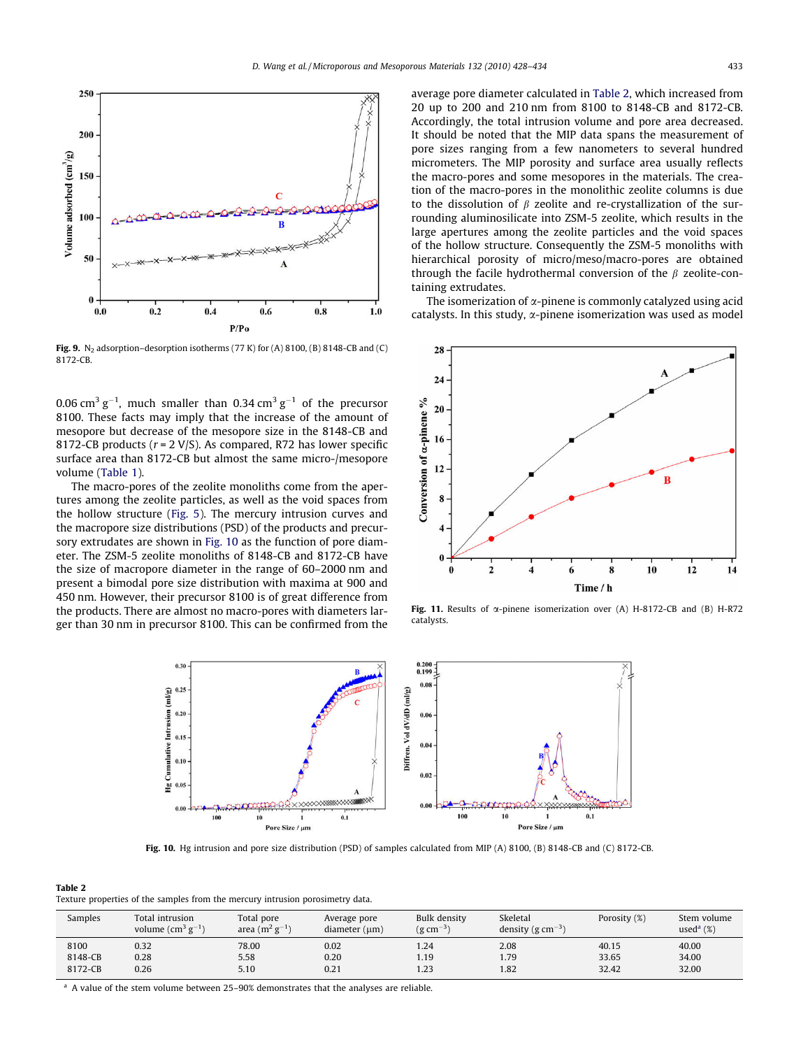<span id="page-5-0"></span>

Fig. 9.  $N_2$  adsorption–desorption isotherms (77 K) for (A) 8100, (B) 8148-CB and (C) 8172-CB.

0.06 cm $^3$  g<sup>-1</sup>, much smaller than 0.34 cm $^3$  g<sup>-1</sup> of the precursor 8100. These facts may imply that the increase of the amount of mesopore but decrease of the mesopore size in the 8148-CB and 8172-CB products ( $r = 2$  V/S). As compared, R72 has lower specific surface area than 8172-CB but almost the same micro-/mesopore volume [\(Table 1](#page-3-0)).

The macro-pores of the zeolite monoliths come from the apertures among the zeolite particles, as well as the void spaces from the hollow structure ([Fig. 5](#page-3-0)). The mercury intrusion curves and the macropore size distributions (PSD) of the products and precursory extrudates are shown in Fig. 10 as the function of pore diameter. The ZSM-5 zeolite monoliths of 8148-CB and 8172-CB have the size of macropore diameter in the range of 60–2000 nm and present a bimodal pore size distribution with maxima at 900 and 450 nm. However, their precursor 8100 is of great difference from the products. There are almost no macro-pores with diameters larger than 30 nm in precursor 8100. This can be confirmed from the average pore diameter calculated in Table 2, which increased from 20 up to 200 and 210 nm from 8100 to 8148-CB and 8172-CB. Accordingly, the total intrusion volume and pore area decreased. It should be noted that the MIP data spans the measurement of pore sizes ranging from a few nanometers to several hundred micrometers. The MIP porosity and surface area usually reflects the macro-pores and some mesopores in the materials. The creation of the macro-pores in the monolithic zeolite columns is due to the dissolution of  $\beta$  zeolite and re-crystallization of the surrounding aluminosilicate into ZSM-5 zeolite, which results in the large apertures among the zeolite particles and the void spaces of the hollow structure. Consequently the ZSM-5 monoliths with hierarchical porosity of micro/meso/macro-pores are obtained through the facile hydrothermal conversion of the  $\beta$  zeolite-containing extrudates.

The isomerization of  $\alpha$ -pinene is commonly catalyzed using acid catalysts. In this study,  $\alpha$ -pinene isomerization was used as model



Fig. 11. Results of  $\alpha$ -pinene isomerization over (A) H-8172-CB and (B) H-R72 catalysts.



Fig. 10. Hg intrusion and pore size distribution (PSD) of samples calculated from MIP (A) 8100, (B) 8148-CB and (C) 8172-CB.

Table 2 Texture properties of the samples from the mercury intrusion porosimetry data.

| Samples | Total intrusion<br>volume $\text{cm}^3\text{ g}^{-1}$ ) | Total pore<br>area $(m^2 g^{-1})$ | Average pore<br>diameter (µm) | <b>Bulk density</b><br>$(g \, cm^{-3})$ | Skeletal<br>density (g $cm^{-3}$ ) | Porosity (%) | Stem volume<br>used $^{\mathrm{a}}$ (%) |
|---------|---------------------------------------------------------|-----------------------------------|-------------------------------|-----------------------------------------|------------------------------------|--------------|-----------------------------------------|
| 8100    | 0.32                                                    | 78.00                             | 0.02                          | 1.24                                    | 2.08                               | 40.15        | 40.00                                   |
| 8148-CB | 0.28                                                    | 5.58                              | 0.20                          | 1.19                                    | 1.79                               | 33.65        | 34.00                                   |
| 8172-CB | 0.26                                                    | 5.10                              | 0.21                          | 1.23                                    | 1.82                               | 32.42        | 32.00                                   |

<sup>a</sup> A value of the stem volume between 25-90% demonstrates that the analyses are reliable.